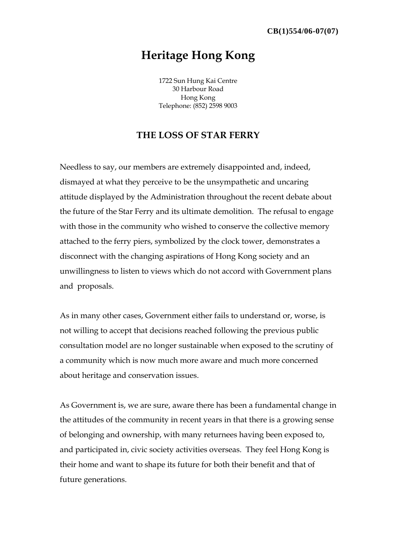## **Heritage Hong Kong**

1722 Sun Hung Kai Centre 30 Harbour Road Hong Kong Telephone: (852) 2598 9003

## **THE LOSS OF STAR FERRY**

Needless to say, our members are extremely disappointed and, indeed, dismayed at what they perceive to be the unsympathetic and uncaring attitude displayed by the Administration throughout the recent debate about the future of the Star Ferry and its ultimate demolition. The refusal to engage with those in the community who wished to conserve the collective memory attached to the ferry piers, symbolized by the clock tower, demonstrates a disconnect with the changing aspirations of Hong Kong society and an unwillingness to listen to views which do not accord with Government plans and proposals.

As in many other cases, Government either fails to understand or, worse, is not willing to accept that decisions reached following the previous public consultation model are no longer sustainable when exposed to the scrutiny of a community which is now much more aware and much more concerned about heritage and conservation issues.

As Government is, we are sure, aware there has been a fundamental change in the attitudes of the community in recent years in that there is a growing sense of belonging and ownership, with many returnees having been exposed to, and participated in, civic society activities overseas. They feel Hong Kong is their home and want to shape its future for both their benefit and that of future generations.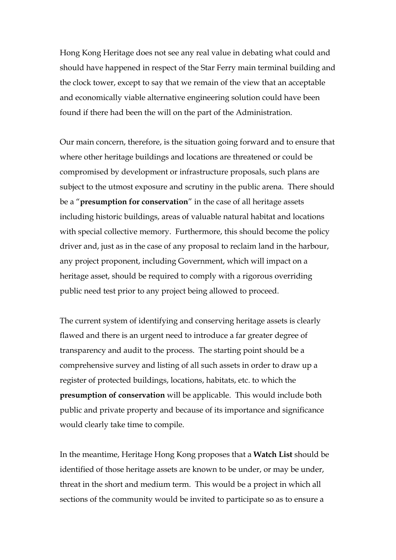Hong Kong Heritage does not see any real value in debating what could and should have happened in respect of the Star Ferry main terminal building and the clock tower, except to say that we remain of the view that an acceptable and economically viable alternative engineering solution could have been found if there had been the will on the part of the Administration.

Our main concern, therefore, is the situation going forward and to ensure that where other heritage buildings and locations are threatened or could be compromised by development or infrastructure proposals, such plans are subject to the utmost exposure and scrutiny in the public arena. There should be a "**presumption for conservation**" in the case of all heritage assets including historic buildings, areas of valuable natural habitat and locations with special collective memory. Furthermore, this should become the policy driver and, just as in the case of any proposal to reclaim land in the harbour, any project proponent, including Government, which will impact on a heritage asset, should be required to comply with a rigorous overriding public need test prior to any project being allowed to proceed.

The current system of identifying and conserving heritage assets is clearly flawed and there is an urgent need to introduce a far greater degree of transparency and audit to the process. The starting point should be a comprehensive survey and listing of all such assets in order to draw up a register of protected buildings, locations, habitats, etc. to which the **presumption of conservation** will be applicable. This would include both public and private property and because of its importance and significance would clearly take time to compile.

In the meantime, Heritage Hong Kong proposes that a **Watch List** should be identified of those heritage assets are known to be under, or may be under, threat in the short and medium term. This would be a project in which all sections of the community would be invited to participate so as to ensure a